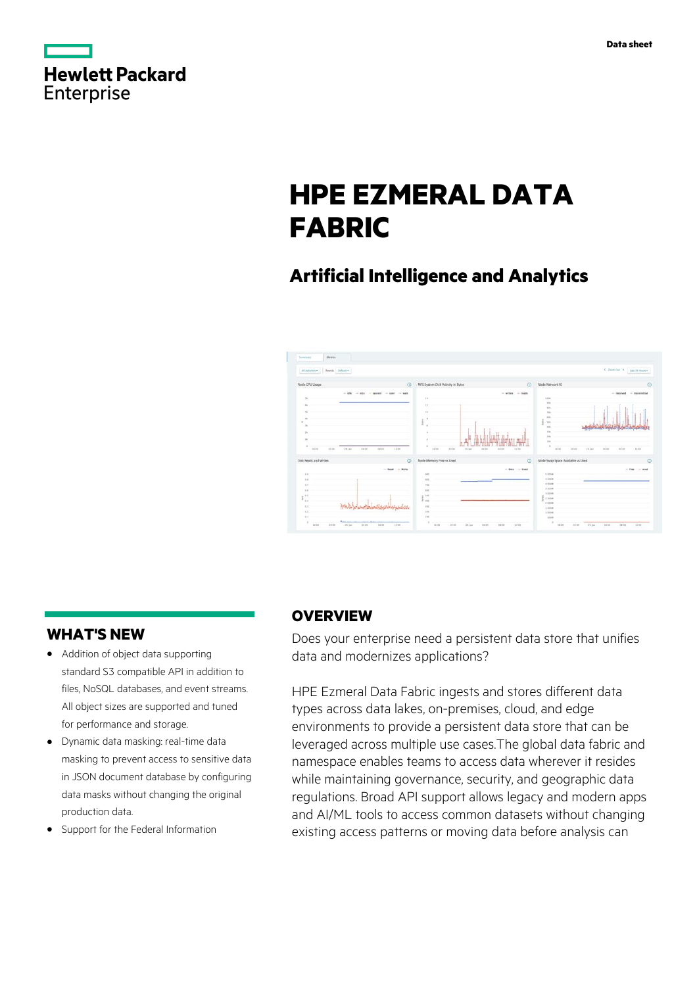|            | <b>Hewlett Packard</b> |
|------------|------------------------|
| Enterprise |                        |

# **HPE EZMERAL DATA FABRIC**

# **Artificial Intelligence and Analytics**



# **WHAT'S NEW**

- **·** Addition of object data supporting standard S3 compatible API in addition to files, NoSQL databases, and event streams. All object sizes are supported and tuned for performance and storage.
- **·** Dynamic data masking: real-time data masking to prevent access to sensitive data in JSON document database by configuring data masks without changing the original production data.
- **·** Support for the Federal Information

# **OVERVIEW**

Does your enterprise need a persistent data store that unifies data and modernizes applications?

HPE Ezmeral Data Fabric ingests and stores different data types across data lakes, on-premises, cloud, and edge environments to provide a persistent data store that can be leveraged across multiple use cases.The global data fabric and namespace enables teams to access data wherever it resides while maintaining governance, security, and geographic data regulations. Broad API support allows legacy and modern apps and AI/ML tools to access common datasets without changing existing access patterns or moving data before analysis can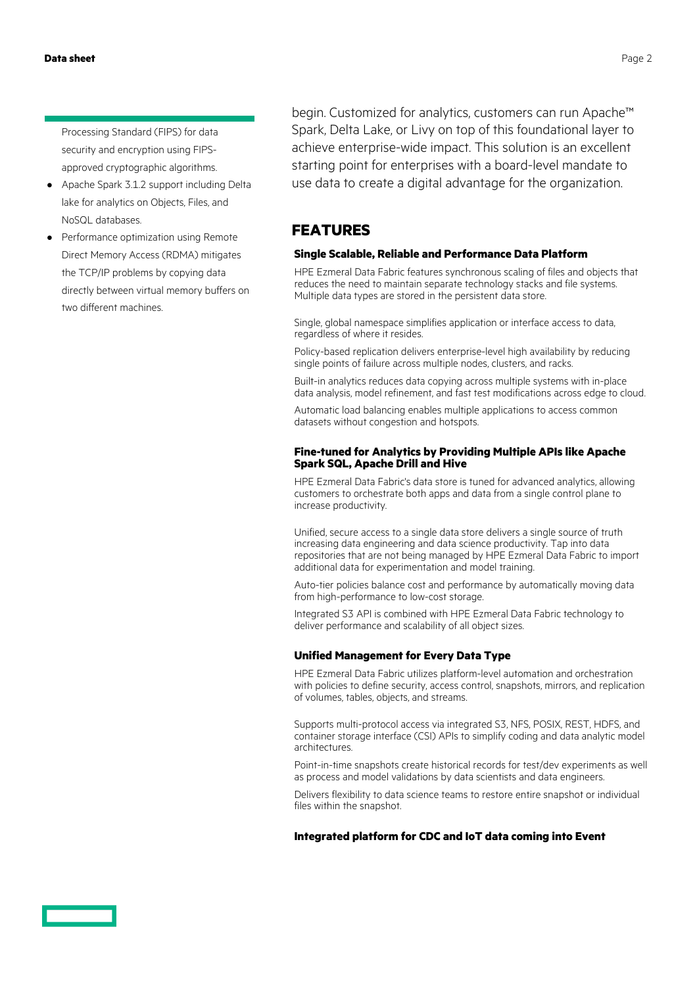Processing Standard (FIPS) for data security and encryption using FIPSapproved cryptographic algorithms.

- **·** Apache Spark 3.1.2 support including Delta lake for analytics on Objects, Files, and NoSQL databases.
- **·** Performance optimization using Remote Direct Memory Access (RDMA) mitigates the TCP/IP problems by copying data directly between virtual memory buffers on two different machines.

begin. Customized for analytics, customers can run Apache™ Spark, Delta Lake, or Livy on top of this foundational layer to achieve enterprise-wide impact. This solution is an excellent starting point for enterprises with a board-level mandate to use data to create a digital advantage for the organization.

### **FEATURES**

### **Single Scalable, Reliable and Performance Data Platform**

HPE Ezmeral Data Fabric features synchronous scaling of files and objects that reduces the need to maintain separate technology stacks and file systems. Multiple data types are stored in the persistent data store.

Single, global namespace simplifies application or interface access to data, regardless of where it resides.

Policy-based replication delivers enterprise-level high availability by reducing single points of failure across multiple nodes, clusters, and racks.

Built-in analytics reduces data copying across multiple systems with in-place data analysis, model refinement, and fast test modifications across edge to cloud.

Automatic load balancing enables multiple applications to access common datasets without congestion and hotspots.

### **Fine-tuned for Analytics by Providing Multiple APIs like Apache Spark SQL, Apache Drill and Hive**

HPE Ezmeral Data Fabric's data store is tuned for advanced analytics, allowing customers to orchestrate both apps and data from a single control plane to increase productivity.

Unified, secure access to a single data store delivers a single source of truth increasing data engineering and data science productivity. Tap into data repositories that are not being managed by HPE Ezmeral Data Fabric to import additional data for experimentation and model training.

Auto-tier policies balance cost and performance by automatically moving data from high-performance to low-cost storage.

Integrated S3 API is combined with HPE Ezmeral Data Fabric technology to deliver performance and scalability of all object sizes.

### **Unified Management for Every Data Type**

HPE Ezmeral Data Fabric utilizes platform-level automation and orchestration with policies to define security, access control, snapshots, mirrors, and replication of volumes, tables, objects, and streams.

Supports multi-protocol access via integrated S3, NFS, POSIX, REST, HDFS, and container storage interface (CSI) APIs to simplify coding and data analytic model architectures.

Point-in-time snapshots create historical records for test/dev experiments as well as process and model validations by data scientists and data engineers.

Delivers flexibility to data science teams to restore entire snapshot or individual files within the snapshot.

### **Integrated platform for CDC and IoT data coming into Event**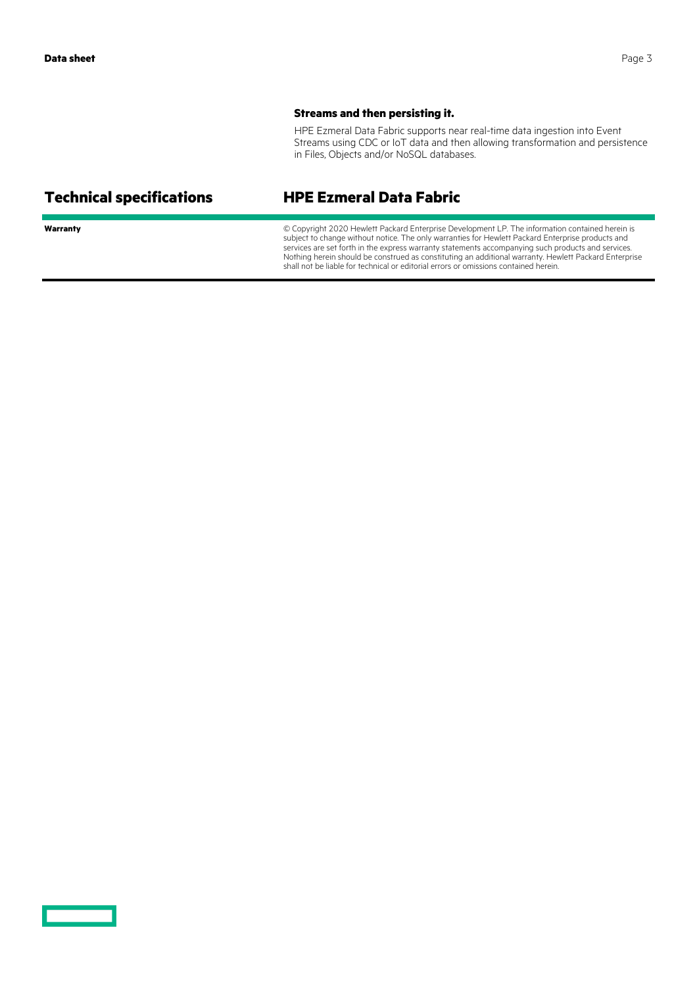### **Streams and then persisting it.**

HPE Ezmeral Data Fabric supports near real-time data ingestion into Event Streams using CDC or IoT data and then allowing transformation and persistence in Files, Objects and/or NoSQL databases.

# **Technical specifications HPE Ezmeral Data Fabric**

Warranty **Warranty Warranty Warranty Warranty Warranty Warranty C** Copyright 2020 Hewlett Packard Enterprise Development LP. The information contained herein is subject to change without notice. The only warranties for Hewlett Packard Enterprise products and services are set forth in the express warranty statements accompanying such products and services. Nothing herein should be construed as constituting an additional warranty. Hewlett Packard Enterprise shall not be liable for technical or editorial errors or omissions contained herein.